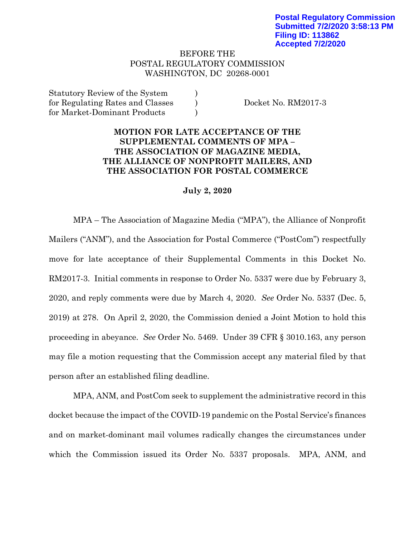## BEFORE THE POSTAL REGULATORY COMMISSION WASHINGTON, DC 20268-0001

Statutory Review of the System  $)$ for Regulating Rates and Classes (b) Docket No. RM2017-3 for Market-Dominant Products )

## **MOTION FOR LATE ACCEPTANCE OF THE SUPPLEMENTAL COMMENTS OF MPA – THE ASSOCIATION OF MAGAZINE MEDIA, THE ALLIANCE OF NONPROFIT MAILERS, AND THE ASSOCIATION FOR POSTAL COMMERCE**

## **July 2, 2020**

MPA – The Association of Magazine Media ("MPA"), the Alliance of Nonprofit Mailers ("ANM"), and the Association for Postal Commerce ("PostCom") respectfully move for late acceptance of their Supplemental Comments in this Docket No. RM2017-3. Initial comments in response to Order No. 5337 were due by February 3, 2020, and reply comments were due by March 4, 2020. *See* Order No. 5337 (Dec. 5, 2019) at 278. On April 2, 2020, the Commission denied a Joint Motion to hold this proceeding in abeyance. *See* Order No. 5469. Under 39 CFR § 3010.163, any person may file a motion requesting that the Commission accept any material filed by that person after an established filing deadline.

MPA, ANM, and PostCom seek to supplement the administrative record in this docket because the impact of the COVID-19 pandemic on the Postal Service's finances and on market-dominant mail volumes radically changes the circumstances under which the Commission issued its Order No. 5337 proposals. MPA, ANM, and